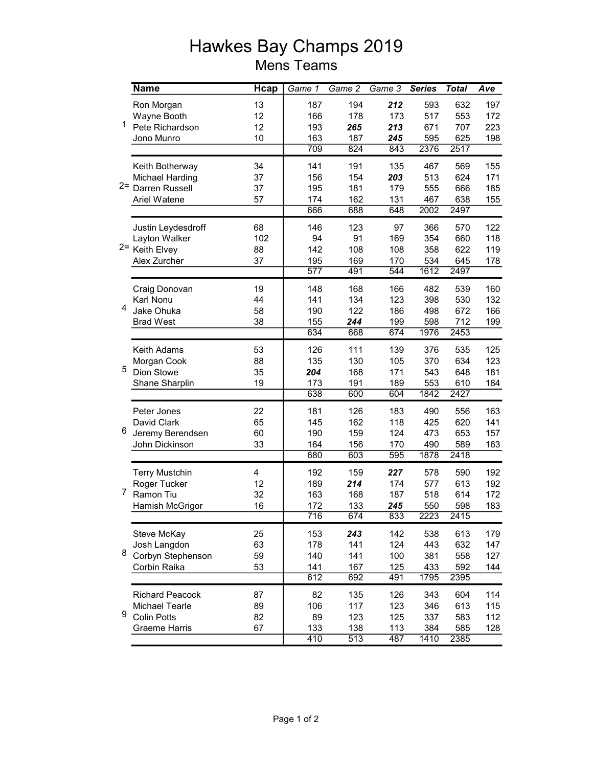## Hawkes Bay Champs 2019 Mens Teams

|       | <b>Name</b>            | <b>Hcap</b> | Game 1           | Game 2 | Game 3 | <b>Series</b> | <b>Total</b> | Ave |
|-------|------------------------|-------------|------------------|--------|--------|---------------|--------------|-----|
|       | Ron Morgan             | 13          | 187              | 194    | 212    | 593           | 632          | 197 |
| 1.    | Wayne Booth            | 12          | 166              | 178    | 173    | 517           | 553          | 172 |
|       | Pete Richardson        | 12          | 193              | 265    | 213    | 671           | 707          | 223 |
|       | Jono Munro             | 10          | 163              | 187    | 245    | 595           | 625          | 198 |
|       |                        |             | 709              | 824    | 843    | 2376          | 2517         |     |
|       | Keith Botherway        | 34          | 141              | 191    | 135    | 467           | 569          | 155 |
|       | <b>Michael Harding</b> | 37          | 156              | 154    | 203    | 513           | 624          | 171 |
| $2 =$ | Darren Russell         | 37          | 195              | 181    | 179    | 555           | 666          | 185 |
|       | Ariel Watene           | 57          | 174              | 162    | 131    | 467           | 638          | 155 |
|       |                        |             | 666              | 688    | 648    | 2002          | 2497         |     |
|       | Justin Leydesdroff     | 68          | 146              | 123    | 97     | 366           | 570          | 122 |
|       | Layton Walker          | 102         | 94               | 91     | 169    | 354           | 660          | 118 |
|       | 2= Keith Elvey         | 88          | 142              | 108    | 108    | 358           | 622          | 119 |
|       | Alex Zurcher           | 37          | 195              | 169    | 170    | 534           | 645          | 178 |
|       |                        |             | $\overline{577}$ | 491    | 544    | 1612          | 2497         |     |
|       | Craig Donovan          | 19          | 148              | 168    | 166    | 482           | 539          | 160 |
|       | Karl Nonu              | 44          | 141              | 134    | 123    | 398           | 530          | 132 |
| 4     | Jake Ohuka             | 58          | 190              | 122    | 186    | 498           | 672          | 166 |
|       | <b>Brad West</b>       | 38          | 155              | 244    | 199    | 598           | 712          | 199 |
|       |                        |             | 634              | 668    | 674    | 1976          | 2453         |     |
|       | Keith Adams            | 53          | 126              | 111    | 139    | 376           | 535          | 125 |
|       | Morgan Cook            | 88          | 135              | 130    | 105    | 370           | 634          | 123 |
| 5     | Dion Stowe             | 35          | 204              | 168    | 171    | 543           | 648          | 181 |
|       | Shane Sharplin         | 19          | 173              | 191    | 189    | 553           | 610          | 184 |
|       |                        |             | 638              | 600    | 604    | 1842          | 2427         |     |
|       | Peter Jones            | 22          | 181              | 126    | 183    | 490           | 556          | 163 |
|       | David Clark            | 65          | 145              | 162    | 118    | 425           | 620          | 141 |
| 6     | Jeremy Berendsen       | 60          | 190              | 159    | 124    | 473           | 653          | 157 |
|       | John Dickinson         | 33          | 164              | 156    | 170    | 490           | 589          | 163 |
|       |                        |             | 680              | 603    | 595    | 1878          | 2418         |     |
|       | <b>Terry Mustchin</b>  | 4           | 192              | 159    | 227    | 578           | 590          | 192 |
|       | Roger Tucker           | 12          | 189              | 214    | 174    | 577           | 613          | 192 |
| 7     | Ramon Tiu              | 32          | 163              | 168    | 187    | 518           | 614          | 172 |
|       | Hamish McGrigor        | 16          | 172              | 133    | 245    | 550           | 598          | 183 |
|       |                        |             | 716              | 674    | 833    | 2223          | 2415         |     |
|       | Steve McKay            | 25          | 153              | 243    | 142    | 538           | 613          | 179 |
|       | Josh Langdon           | 63          | 178              | 141    | 124    | 443           | 632          | 147 |
| 8     | Corbyn Stephenson      | 59          | 140              | 141    | 100    | 381           | 558          | 127 |
|       | Corbin Raika           | 53          | 141              | 167    | 125    | 433           | 592          | 144 |
|       |                        |             | 612              | 692    | 491    | 1795          | 2395         |     |
| 9     | <b>Richard Peacock</b> | 87          | 82               | 135    | 126    | 343           | 604          | 114 |
|       | <b>Michael Tearle</b>  | 89          | 106              | 117    | 123    | 346           | 613          | 115 |
|       | <b>Colin Potts</b>     | 82          | 89               | 123    | 125    | 337           | 583          | 112 |
|       | <b>Graeme Harris</b>   | 67          | 133              | 138    | 113    | 384           | 585          | 128 |
|       |                        |             | 410              | 513    | 487    | 1410          | 2385         |     |